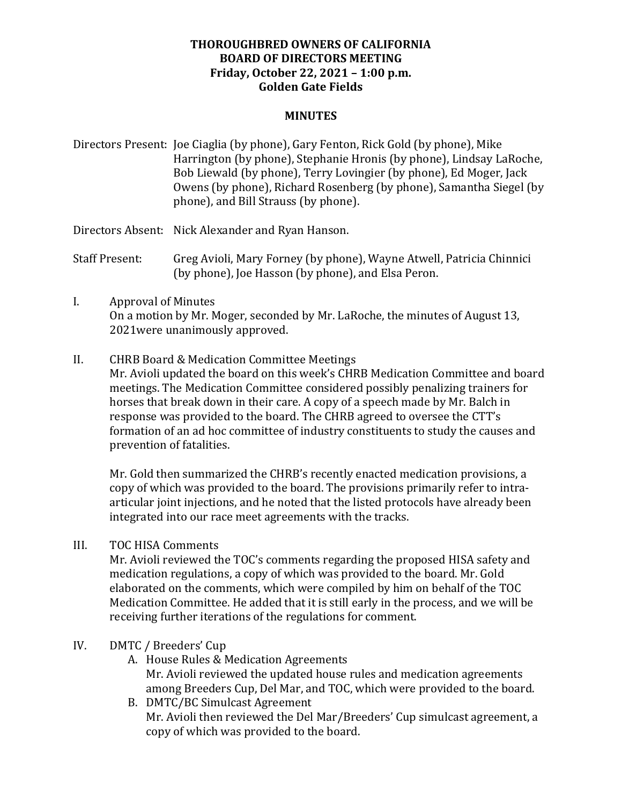## **THOROUGHBRED OWNERS OF CALIFORNIA BOARD OF DIRECTORS MEETING Friday, October 22, 2021 – 1:00 p.m. Golden Gate Fields**

#### **MINUTES**

Directors Present: Joe Ciaglia (by phone), Gary Fenton, Rick Gold (by phone), Mike Harrington (by phone), Stephanie Hronis (by phone), Lindsay LaRoche, Bob Liewald (by phone), Terry Lovingier (by phone), Ed Moger, Jack Owens (by phone), Richard Rosenberg (by phone), Samantha Siegel (by phone), and Bill Strauss (by phone).

Directors Absent: Nick Alexander and Ryan Hanson.

Staff Present: Greg Avioli, Mary Forney (by phone), Wayne Atwell, Patricia Chinnici (by phone), Joe Hasson (by phone), and Elsa Peron.

# I. Approval of Minutes On a motion by Mr. Moger, seconded by Mr. LaRoche, the minutes of August 13, 2021were unanimously approved.

II. CHRB Board & Medication Committee Meetings

Mr. Avioli updated the board on this week's CHRB Medication Committee and board meetings. The Medication Committee considered possibly penalizing trainers for horses that break down in their care. A copy of a speech made by Mr. Balch in response was provided to the board. The CHRB agreed to oversee the CTT's formation of an ad hoc committee of industry constituents to study the causes and prevention of fatalities.

Mr. Gold then summarized the CHRB's recently enacted medication provisions, a copy of which was provided to the board. The provisions primarily refer to intraarticular joint injections, and he noted that the listed protocols have already been integrated into our race meet agreements with the tracks.

III. TOC HISA Comments

Mr. Avioli reviewed the TOC's comments regarding the proposed HISA safety and medication regulations, a copy of which was provided to the board. Mr. Gold elaborated on the comments, which were compiled by him on behalf of the TOC Medication Committee. He added that it is still early in the process, and we will be receiving further iterations of the regulations for comment.

### IV. DMTC / Breeders' Cup

- A. House Rules & Medication Agreements Mr. Avioli reviewed the updated house rules and medication agreements among Breeders Cup, Del Mar, and TOC, which were provided to the board.
- B. DMTC/BC Simulcast Agreement Mr. Avioli then reviewed the Del Mar/Breeders' Cup simulcast agreement, a copy of which was provided to the board.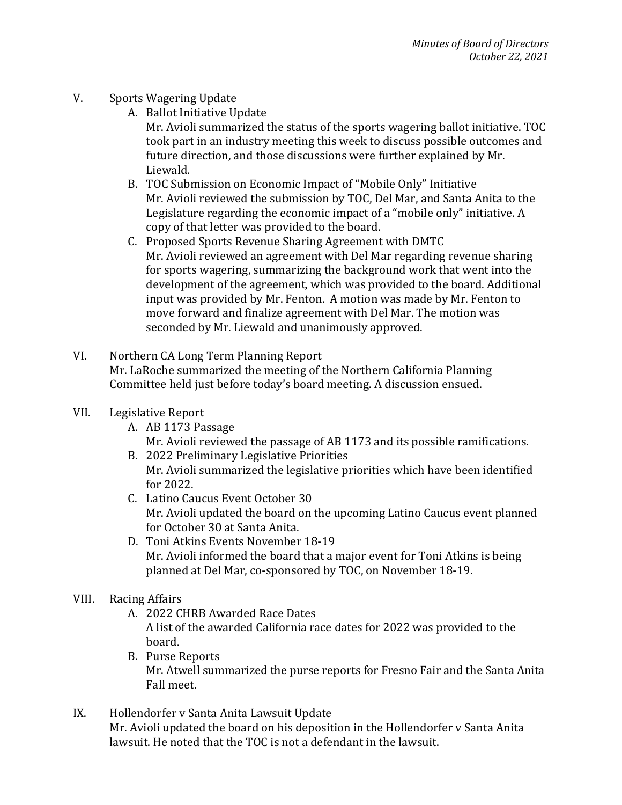- V. Sports Wagering Update
	- A. Ballot Initiative Update

Mr. Avioli summarized the status of the sports wagering ballot initiative. TOC took part in an industry meeting this week to discuss possible outcomes and future direction, and those discussions were further explained by Mr. Liewald.

- B. TOC Submission on Economic Impact of "Mobile Only" Initiative Mr. Avioli reviewed the submission by TOC, Del Mar, and Santa Anita to the Legislature regarding the economic impact of a "mobile only" initiative. A copy of that letter was provided to the board.
- C. Proposed Sports Revenue Sharing Agreement with DMTC Mr. Avioli reviewed an agreement with Del Mar regarding revenue sharing for sports wagering, summarizing the background work that went into the development of the agreement, which was provided to the board. Additional input was provided by Mr. Fenton. A motion was made by Mr. Fenton to move forward and finalize agreement with Del Mar. The motion was seconded by Mr. Liewald and unanimously approved.
- VI. Northern CA Long Term Planning Report Mr. LaRoche summarized the meeting of the Northern California Planning Committee held just before today's board meeting. A discussion ensued.
- VII. Legislative Report
	- A. AB 1173 Passage
		- Mr. Avioli reviewed the passage of AB 1173 and its possible ramifications.
	- B. 2022 Preliminary Legislative Priorities Mr. Avioli summarized the legislative priorities which have been identified for  $2022$ .
	- C. Latino Caucus Event October 30 Mr. Avioli updated the board on the upcoming Latino Caucus event planned for October 30 at Santa Anita.
	- D. Toni Atkins Events November 18-19 Mr. Avioli informed the board that a major event for Toni Atkins is being planned at Del Mar, co-sponsored by TOC, on November 18-19.
- VIII. Racing Affairs

board.

- A. 2022 CHRB Awarded Race Dates A list of the awarded California race dates for 2022 was provided to the
- B. Purse Reports Mr. Atwell summarized the purse reports for Fresno Fair and the Santa Anita Fall meet.
- IX. Hollendorfer v Santa Anita Lawsuit Update Mr. Avioli updated the board on his deposition in the Hollendorfer v Santa Anita lawsuit. He noted that the TOC is not a defendant in the lawsuit.